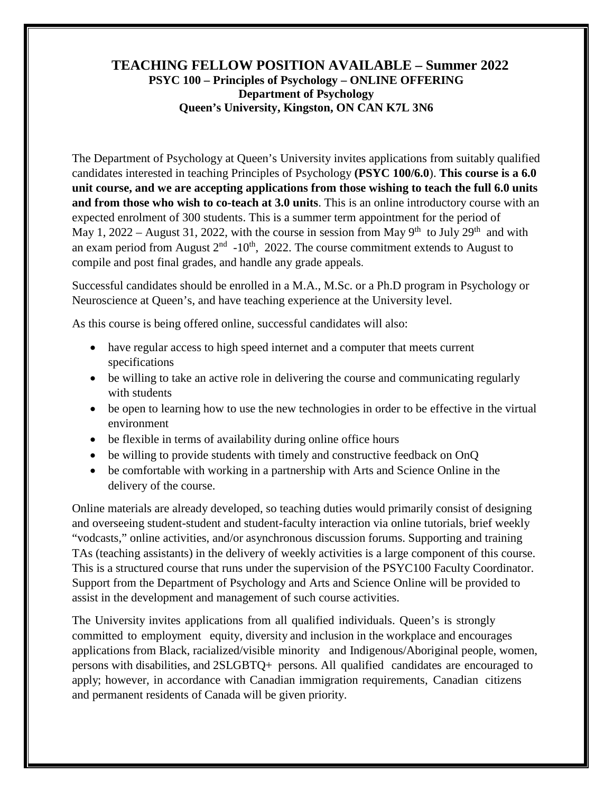## **TEACHING FELLOW POSITION AVAILABLE – Summer 2022 PSYC 100 – Principles of Psychology – ONLINE OFFERING Department of Psychology Queen's University, Kingston, ON CAN K7L 3N6**

The Department of Psychology at Queen's University invites applications from suitably qualified candidates interested in teaching Principles of Psychology **(PSYC 100/6.0**). **This course is a 6.0 unit course, and we are accepting applications from those wishing to teach the full 6.0 units and from those who wish to co-teach at 3.0 units**. This is an online introductory course with an expected enrolment of 300 students. This is a summer term appointment for the period of May 1, 2022 – August 31, 2022, with the course in session from May  $9<sup>th</sup>$  to July  $29<sup>th</sup>$  and with an exam period from August  $2<sup>nd</sup> -10<sup>th</sup>$ , 2022. The course commitment extends to August to compile and post final grades, and handle any grade appeals.

Successful candidates should be enrolled in a M.A., M.Sc. or a Ph.D program in Psychology or Neuroscience at Queen's, and have teaching experience at the University level.

As this course is being offered online, successful candidates will also:

- have regular access to high speed internet and a computer that meets current specifications
- be willing to take an active role in delivering the course and communicating regularly with students
- be open to learning how to use the new technologies in order to be effective in the virtual environment
- be flexible in terms of availability during online office hours
- be willing to provide students with timely and constructive feedback on OnQ
- be comfortable with working in a partnership with Arts and Science Online in the delivery of the course.

Online materials are already developed, so teaching duties would primarily consist of designing and overseeing student-student and student-faculty interaction via online tutorials, brief weekly "vodcasts," online activities, and/or asynchronous discussion forums. Supporting and training TAs (teaching assistants) in the delivery of weekly activities is a large component of this course. This is a structured course that runs under the supervision of the PSYC100 Faculty Coordinator. Support from the Department of Psychology and Arts and Science Online will be provided to assist in the development and management of such course activities.

The University invites applications from all qualified individuals. Queen's is strongly committed to employment equity, diversity and inclusion in the workplace and encourages applications from Black, racialized/visible minority and Indigenous/Aboriginal people, women, persons with disabilities, and 2SLGBTQ+ persons. All qualified candidates are encouraged to apply; however, in accordance with Canadian immigration requirements, Canadian citizens and permanent residents of Canada will be given priority.